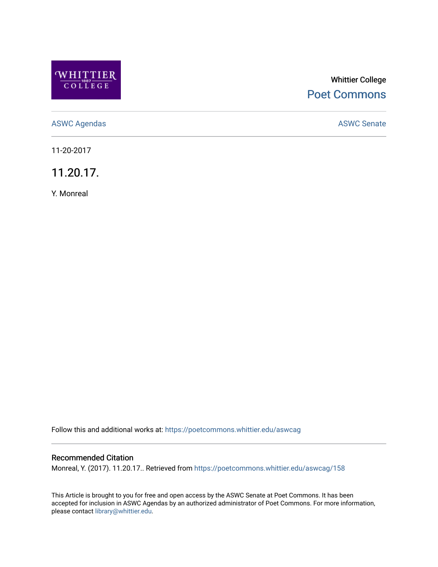

# Whittier College [Poet Commons](https://poetcommons.whittier.edu/)

[ASWC Agendas](https://poetcommons.whittier.edu/aswcag) **ASWC Senate** 

11-20-2017

11.20.17.

Y. Monreal

Follow this and additional works at: [https://poetcommons.whittier.edu/aswcag](https://poetcommons.whittier.edu/aswcag?utm_source=poetcommons.whittier.edu%2Faswcag%2F158&utm_medium=PDF&utm_campaign=PDFCoverPages) 

## Recommended Citation

Monreal, Y. (2017). 11.20.17.. Retrieved from [https://poetcommons.whittier.edu/aswcag/158](https://poetcommons.whittier.edu/aswcag/158?utm_source=poetcommons.whittier.edu%2Faswcag%2F158&utm_medium=PDF&utm_campaign=PDFCoverPages) 

This Article is brought to you for free and open access by the ASWC Senate at Poet Commons. It has been accepted for inclusion in ASWC Agendas by an authorized administrator of Poet Commons. For more information, please contact [library@whittier.edu](mailto:library@whittier.edu).